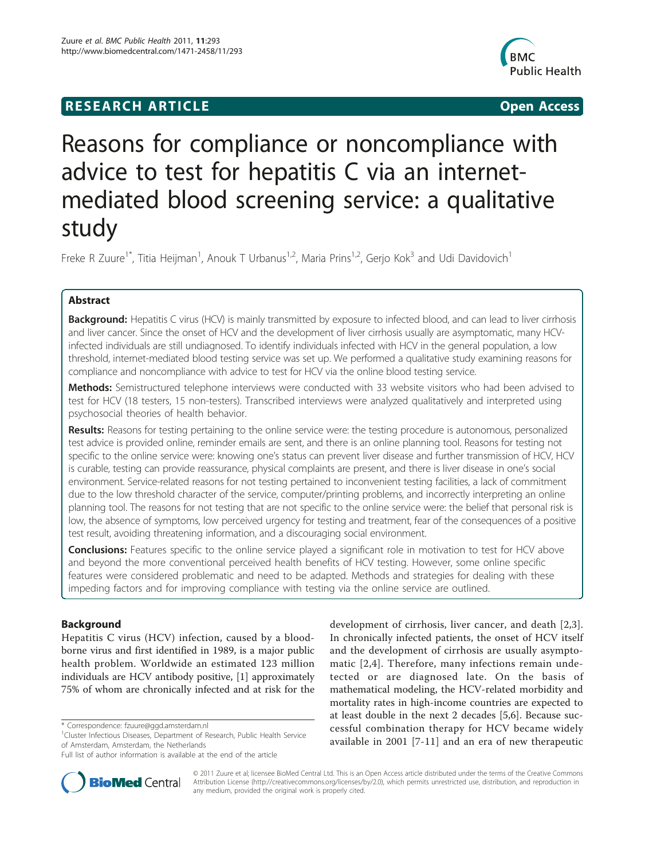## **RESEARCH ARTICLE Example 2018 CONSIDERING ACCESS**



# Reasons for compliance or noncompliance with advice to test for hepatitis C via an internetmediated blood screening service: a qualitative study

Freke R Zuure<sup>1\*</sup>, Titia Heijman<sup>1</sup>, Anouk T Urbanus<sup>1,2</sup>, Maria Prins<sup>1,2</sup>, Gerjo Kok<sup>3</sup> and Udi Davidovich<sup>1</sup>

## Abstract

Background: Hepatitis C virus (HCV) is mainly transmitted by exposure to infected blood, and can lead to liver cirrhosis and liver cancer. Since the onset of HCV and the development of liver cirrhosis usually are asymptomatic, many HCVinfected individuals are still undiagnosed. To identify individuals infected with HCV in the general population, a low threshold, internet-mediated blood testing service was set up. We performed a qualitative study examining reasons for compliance and noncompliance with advice to test for HCV via the online blood testing service.

Methods: Semistructured telephone interviews were conducted with 33 website visitors who had been advised to test for HCV (18 testers, 15 non-testers). Transcribed interviews were analyzed qualitatively and interpreted using psychosocial theories of health behavior.

Results: Reasons for testing pertaining to the online service were: the testing procedure is autonomous, personalized test advice is provided online, reminder emails are sent, and there is an online planning tool. Reasons for testing not specific to the online service were: knowing one's status can prevent liver disease and further transmission of HCV, HCV is curable, testing can provide reassurance, physical complaints are present, and there is liver disease in one's social environment. Service-related reasons for not testing pertained to inconvenient testing facilities, a lack of commitment due to the low threshold character of the service, computer/printing problems, and incorrectly interpreting an online planning tool. The reasons for not testing that are not specific to the online service were: the belief that personal risk is low, the absence of symptoms, low perceived urgency for testing and treatment, fear of the consequences of a positive test result, avoiding threatening information, and a discouraging social environment.

Conclusions: Features specific to the online service played a significant role in motivation to test for HCV above and beyond the more conventional perceived health benefits of HCV testing. However, some online specific features were considered problematic and need to be adapted. Methods and strategies for dealing with these impeding factors and for improving compliance with testing via the online service are outlined.

## Background

Hepatitis C virus (HCV) infection, caused by a bloodborne virus and first identified in 1989, is a major public health problem. Worldwide an estimated 123 million individuals are HCV antibody positive, [\[1](#page-11-0)] approximately 75% of whom are chronically infected and at risk for the

Full list of author information is available at the end of the article





© 2011 Zuure et al; licensee BioMed Central Ltd. This is an Open Access article distributed under the terms of the Creative Commons Attribution License [\(http://creativecommons.org/licenses/by/2.0](http://creativecommons.org/licenses/by/2.0)), which permits unrestricted use, distribution, and reproduction in any medium, provided the original work is properly cited.

<sup>\*</sup> Correspondence: [fzuure@ggd.amsterdam.nl](mailto:fzuure@ggd.amsterdam.nl)

<sup>&</sup>lt;sup>1</sup>Cluster Infectious Diseases, Department of Research, Public Health Service of Amsterdam, Amsterdam, the Netherlands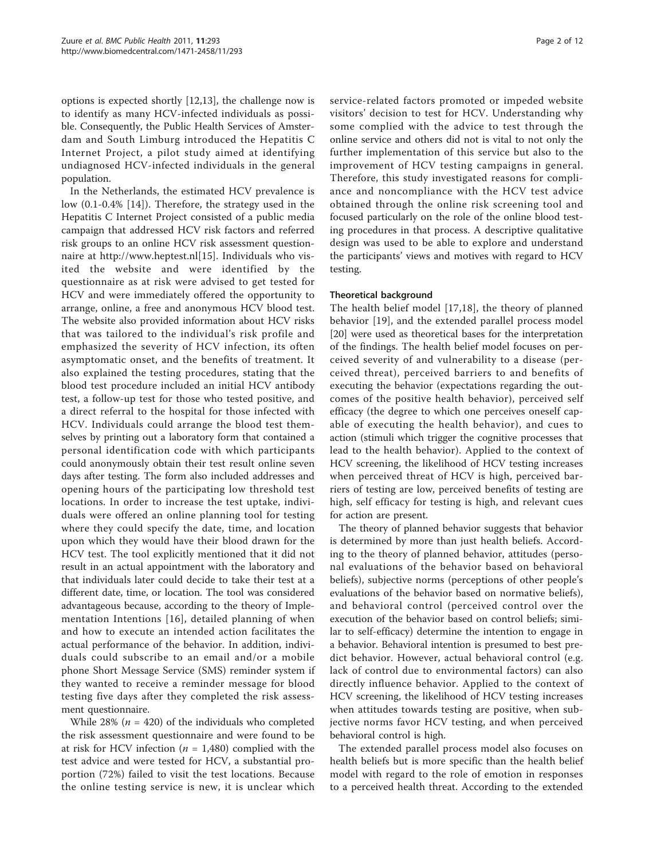options is expected shortly [[12,13\]](#page-11-0), the challenge now is to identify as many HCV-infected individuals as possible. Consequently, the Public Health Services of Amsterdam and South Limburg introduced the Hepatitis C Internet Project, a pilot study aimed at identifying undiagnosed HCV-infected individuals in the general population.

In the Netherlands, the estimated HCV prevalence is low (0.1-0.4% [\[14\]](#page-11-0)). Therefore, the strategy used in the Hepatitis C Internet Project consisted of a public media campaign that addressed HCV risk factors and referred risk groups to an online HCV risk assessment questionnaire at<http://www.heptest.nl>[\[15](#page-11-0)]. Individuals who visited the website and were identified by the questionnaire as at risk were advised to get tested for HCV and were immediately offered the opportunity to arrange, online, a free and anonymous HCV blood test. The website also provided information about HCV risks that was tailored to the individual's risk profile and emphasized the severity of HCV infection, its often asymptomatic onset, and the benefits of treatment. It also explained the testing procedures, stating that the blood test procedure included an initial HCV antibody test, a follow-up test for those who tested positive, and a direct referral to the hospital for those infected with HCV. Individuals could arrange the blood test themselves by printing out a laboratory form that contained a personal identification code with which participants could anonymously obtain their test result online seven days after testing. The form also included addresses and opening hours of the participating low threshold test locations. In order to increase the test uptake, individuals were offered an online planning tool for testing where they could specify the date, time, and location upon which they would have their blood drawn for the HCV test. The tool explicitly mentioned that it did not result in an actual appointment with the laboratory and that individuals later could decide to take their test at a different date, time, or location. The tool was considered advantageous because, according to the theory of Implementation Intentions [\[16\]](#page-11-0), detailed planning of when and how to execute an intended action facilitates the actual performance of the behavior. In addition, individuals could subscribe to an email and/or a mobile phone Short Message Service (SMS) reminder system if they wanted to receive a reminder message for blood testing five days after they completed the risk assessment questionnaire.

While 28% ( $n = 420$ ) of the individuals who completed the risk assessment questionnaire and were found to be at risk for HCV infection ( $n = 1,480$ ) complied with the test advice and were tested for HCV, a substantial proportion (72%) failed to visit the test locations. Because the online testing service is new, it is unclear which service-related factors promoted or impeded website visitors' decision to test for HCV. Understanding why some complied with the advice to test through the online service and others did not is vital to not only the further implementation of this service but also to the improvement of HCV testing campaigns in general. Therefore, this study investigated reasons for compliance and noncompliance with the HCV test advice obtained through the online risk screening tool and focused particularly on the role of the online blood testing procedures in that process. A descriptive qualitative design was used to be able to explore and understand the participants' views and motives with regard to HCV testing.

#### Theoretical background

The health belief model [[17](#page-11-0),[18\]](#page-11-0), the theory of planned behavior [[19\]](#page-11-0), and the extended parallel process model [[20\]](#page-11-0) were used as theoretical bases for the interpretation of the findings. The health belief model focuses on perceived severity of and vulnerability to a disease (perceived threat), perceived barriers to and benefits of executing the behavior (expectations regarding the outcomes of the positive health behavior), perceived self efficacy (the degree to which one perceives oneself capable of executing the health behavior), and cues to action (stimuli which trigger the cognitive processes that lead to the health behavior). Applied to the context of HCV screening, the likelihood of HCV testing increases when perceived threat of HCV is high, perceived barriers of testing are low, perceived benefits of testing are high, self efficacy for testing is high, and relevant cues for action are present.

The theory of planned behavior suggests that behavior is determined by more than just health beliefs. According to the theory of planned behavior, attitudes (personal evaluations of the behavior based on behavioral beliefs), subjective norms (perceptions of other people's evaluations of the behavior based on normative beliefs), and behavioral control (perceived control over the execution of the behavior based on control beliefs; similar to self-efficacy) determine the intention to engage in a behavior. Behavioral intention is presumed to best predict behavior. However, actual behavioral control (e.g. lack of control due to environmental factors) can also directly influence behavior. Applied to the context of HCV screening, the likelihood of HCV testing increases when attitudes towards testing are positive, when subjective norms favor HCV testing, and when perceived behavioral control is high.

The extended parallel process model also focuses on health beliefs but is more specific than the health belief model with regard to the role of emotion in responses to a perceived health threat. According to the extended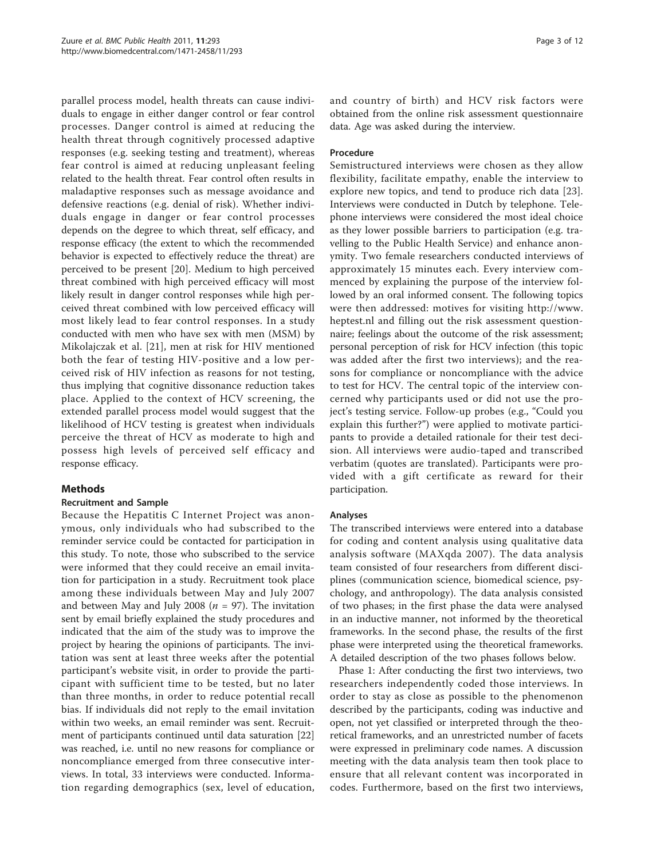parallel process model, health threats can cause individuals to engage in either danger control or fear control processes. Danger control is aimed at reducing the health threat through cognitively processed adaptive responses (e.g. seeking testing and treatment), whereas fear control is aimed at reducing unpleasant feeling related to the health threat. Fear control often results in maladaptive responses such as message avoidance and defensive reactions (e.g. denial of risk). Whether individuals engage in danger or fear control processes depends on the degree to which threat, self efficacy, and response efficacy (the extent to which the recommended behavior is expected to effectively reduce the threat) are perceived to be present [[20\]](#page-11-0). Medium to high perceived threat combined with high perceived efficacy will most likely result in danger control responses while high perceived threat combined with low perceived efficacy will most likely lead to fear control responses. In a study conducted with men who have sex with men (MSM) by Mikolajczak et al. [[21](#page-11-0)], men at risk for HIV mentioned both the fear of testing HIV-positive and a low perceived risk of HIV infection as reasons for not testing, thus implying that cognitive dissonance reduction takes place. Applied to the context of HCV screening, the extended parallel process model would suggest that the likelihood of HCV testing is greatest when individuals perceive the threat of HCV as moderate to high and possess high levels of perceived self efficacy and response efficacy.

#### Methods

#### Recruitment and Sample

Because the Hepatitis C Internet Project was anonymous, only individuals who had subscribed to the reminder service could be contacted for participation in this study. To note, those who subscribed to the service were informed that they could receive an email invitation for participation in a study. Recruitment took place among these individuals between May and July 2007 and between May and July 2008 ( $n = 97$ ). The invitation sent by email briefly explained the study procedures and indicated that the aim of the study was to improve the project by hearing the opinions of participants. The invitation was sent at least three weeks after the potential participant's website visit, in order to provide the participant with sufficient time to be tested, but no later than three months, in order to reduce potential recall bias. If individuals did not reply to the email invitation within two weeks, an email reminder was sent. Recruitment of participants continued until data saturation [[22](#page-11-0)] was reached, i.e. until no new reasons for compliance or noncompliance emerged from three consecutive interviews. In total, 33 interviews were conducted. Information regarding demographics (sex, level of education, and country of birth) and HCV risk factors were obtained from the online risk assessment questionnaire data. Age was asked during the interview.

#### Procedure

Semistructured interviews were chosen as they allow flexibility, facilitate empathy, enable the interview to explore new topics, and tend to produce rich data [\[23](#page-11-0)]. Interviews were conducted in Dutch by telephone. Telephone interviews were considered the most ideal choice as they lower possible barriers to participation (e.g. travelling to the Public Health Service) and enhance anonymity. Two female researchers conducted interviews of approximately 15 minutes each. Every interview commenced by explaining the purpose of the interview followed by an oral informed consent. The following topics were then addressed: motives for visiting [http://www.](http://www.heptest.nl) [heptest.nl](http://www.heptest.nl) and filling out the risk assessment questionnaire; feelings about the outcome of the risk assessment; personal perception of risk for HCV infection (this topic was added after the first two interviews); and the reasons for compliance or noncompliance with the advice to test for HCV. The central topic of the interview concerned why participants used or did not use the project's testing service. Follow-up probes (e.g., "Could you explain this further?") were applied to motivate participants to provide a detailed rationale for their test decision. All interviews were audio-taped and transcribed verbatim (quotes are translated). Participants were provided with a gift certificate as reward for their participation.

#### Analyses

The transcribed interviews were entered into a database for coding and content analysis using qualitative data analysis software (MAXqda 2007). The data analysis team consisted of four researchers from different disciplines (communication science, biomedical science, psychology, and anthropology). The data analysis consisted of two phases; in the first phase the data were analysed in an inductive manner, not informed by the theoretical frameworks. In the second phase, the results of the first phase were interpreted using the theoretical frameworks. A detailed description of the two phases follows below.

Phase 1: After conducting the first two interviews, two researchers independently coded those interviews. In order to stay as close as possible to the phenomenon described by the participants, coding was inductive and open, not yet classified or interpreted through the theoretical frameworks, and an unrestricted number of facets were expressed in preliminary code names. A discussion meeting with the data analysis team then took place to ensure that all relevant content was incorporated in codes. Furthermore, based on the first two interviews,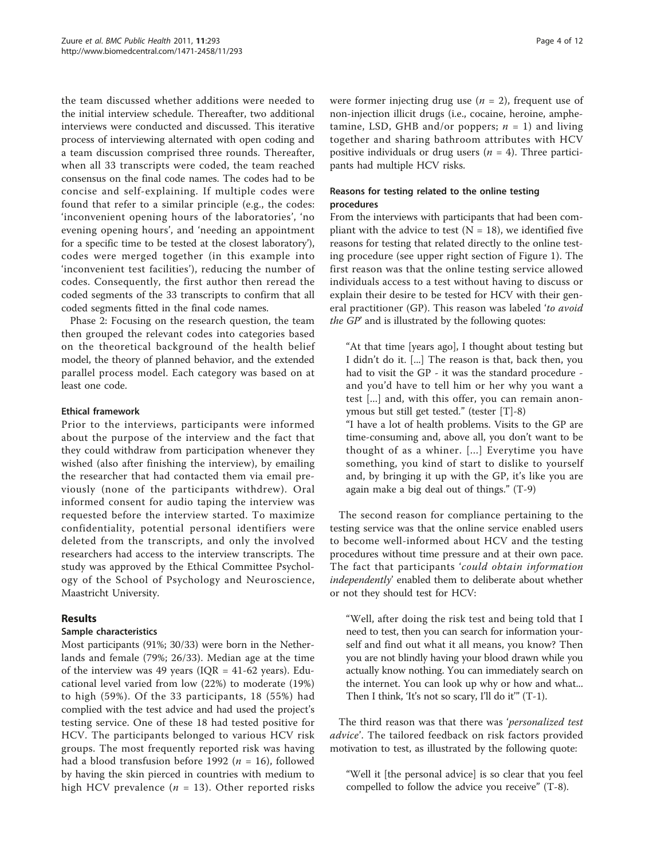the team discussed whether additions were needed to the initial interview schedule. Thereafter, two additional interviews were conducted and discussed. This iterative process of interviewing alternated with open coding and a team discussion comprised three rounds. Thereafter, when all 33 transcripts were coded, the team reached consensus on the final code names. The codes had to be concise and self-explaining. If multiple codes were found that refer to a similar principle (e.g., the codes: 'inconvenient opening hours of the laboratories', 'no evening opening hours', and 'needing an appointment for a specific time to be tested at the closest laboratory'), codes were merged together (in this example into 'inconvenient test facilities'), reducing the number of codes. Consequently, the first author then reread the coded segments of the 33 transcripts to confirm that all coded segments fitted in the final code names.

Phase 2: Focusing on the research question, the team then grouped the relevant codes into categories based on the theoretical background of the health belief model, the theory of planned behavior, and the extended parallel process model. Each category was based on at least one code.

## Ethical framework

Prior to the interviews, participants were informed about the purpose of the interview and the fact that they could withdraw from participation whenever they wished (also after finishing the interview), by emailing the researcher that had contacted them via email previously (none of the participants withdrew). Oral informed consent for audio taping the interview was requested before the interview started. To maximize confidentiality, potential personal identifiers were deleted from the transcripts, and only the involved researchers had access to the interview transcripts. The study was approved by the Ethical Committee Psychology of the School of Psychology and Neuroscience, Maastricht University.

## Results

## Sample characteristics

Most participants (91%; 30/33) were born in the Netherlands and female (79%; 26/33). Median age at the time of the interview was 49 years ( $IQR = 41-62$  years). Educational level varied from low (22%) to moderate (19%) to high (59%). Of the 33 participants, 18 (55%) had complied with the test advice and had used the project's testing service. One of these 18 had tested positive for HCV. The participants belonged to various HCV risk groups. The most frequently reported risk was having had a blood transfusion before 1992 ( $n = 16$ ), followed by having the skin pierced in countries with medium to high HCV prevalence ( $n = 13$ ). Other reported risks were former injecting drug use  $(n = 2)$ , frequent use of non-injection illicit drugs (i.e., cocaine, heroine, amphetamine, LSD, GHB and/or poppers;  $n = 1$ ) and living together and sharing bathroom attributes with HCV positive individuals or drug users ( $n = 4$ ). Three participants had multiple HCV risks.

## Reasons for testing related to the online testing procedures

From the interviews with participants that had been compliant with the advice to test ( $N = 18$ ), we identified five reasons for testing that related directly to the online testing procedure (see upper right section of Figure [1\)](#page-4-0). The first reason was that the online testing service allowed individuals access to a test without having to discuss or explain their desire to be tested for HCV with their general practitioner (GP). This reason was labeled 'to avoid the  $GP'$  and is illustrated by the following quotes:

"At that time [years ago], I thought about testing but I didn't do it. [...] The reason is that, back then, you had to visit the GP - it was the standard procedure and you'd have to tell him or her why you want a test [...] and, with this offer, you can remain anonymous but still get tested." (tester [T]-8)

"I have a lot of health problems. Visits to the GP are time-consuming and, above all, you don't want to be thought of as a whiner. [...] Everytime you have something, you kind of start to dislike to yourself and, by bringing it up with the GP, it's like you are again make a big deal out of things." (T-9)

The second reason for compliance pertaining to the testing service was that the online service enabled users to become well-informed about HCV and the testing procedures without time pressure and at their own pace. The fact that participants 'could obtain information independently' enabled them to deliberate about whether or not they should test for HCV:

"Well, after doing the risk test and being told that I need to test, then you can search for information yourself and find out what it all means, you know? Then you are not blindly having your blood drawn while you actually know nothing. You can immediately search on the internet. You can look up why or how and what... Then I think, 'It's not so scary, I'll do it'" (T-1).

The third reason was that there was 'personalized test advice'. The tailored feedback on risk factors provided motivation to test, as illustrated by the following quote:

"Well it [the personal advice] is so clear that you feel compelled to follow the advice you receive" (T-8).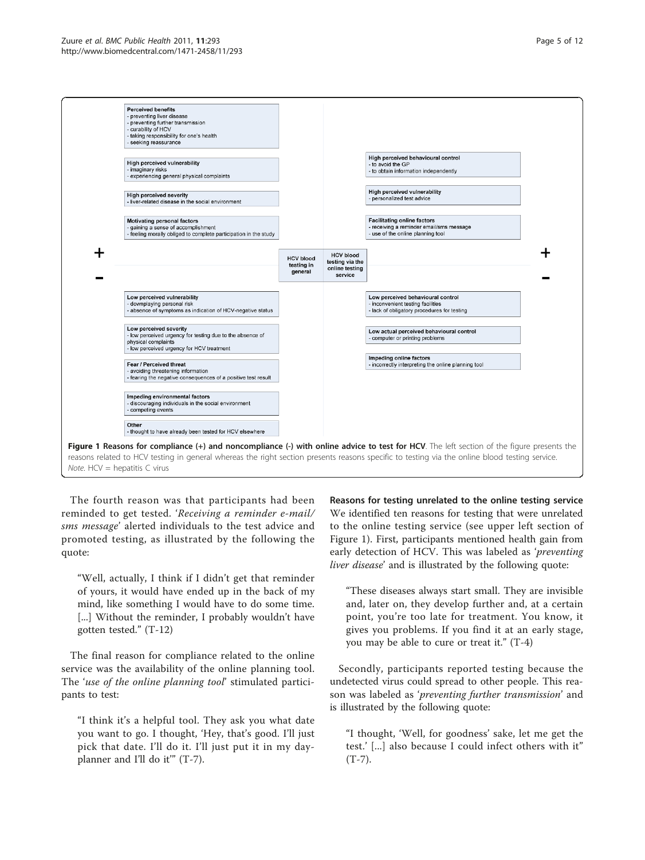<span id="page-4-0"></span>

The fourth reason was that participants had been reminded to get tested. 'Receiving a reminder e-mail/ sms message' alerted individuals to the test advice and promoted testing, as illustrated by the following the quote:

"Well, actually, I think if I didn't get that reminder of yours, it would have ended up in the back of my mind, like something I would have to do some time. [...] Without the reminder, I probably wouldn't have gotten tested." (T-12)

The final reason for compliance related to the online service was the availability of the online planning tool. The 'use of the online planning tool' stimulated participants to test:

"I think it's a helpful tool. They ask you what date you want to go. I thought, 'Hey, that's good. I'll just pick that date. I'll do it. I'll just put it in my dayplanner and I'll do it'" (T-7).

Reasons for testing unrelated to the online testing service We identified ten reasons for testing that were unrelated to the online testing service (see upper left section of Figure 1). First, participants mentioned health gain from early detection of HCV. This was labeled as 'preventing liver disease' and is illustrated by the following quote:

"These diseases always start small. They are invisible and, later on, they develop further and, at a certain point, you're too late for treatment. You know, it gives you problems. If you find it at an early stage, you may be able to cure or treat it." (T-4)

Secondly, participants reported testing because the undetected virus could spread to other people. This reason was labeled as 'preventing further transmission' and is illustrated by the following quote:

"I thought, 'Well, for goodness' sake, let me get the test.' [...] also because I could infect others with it"  $(T-7)$ .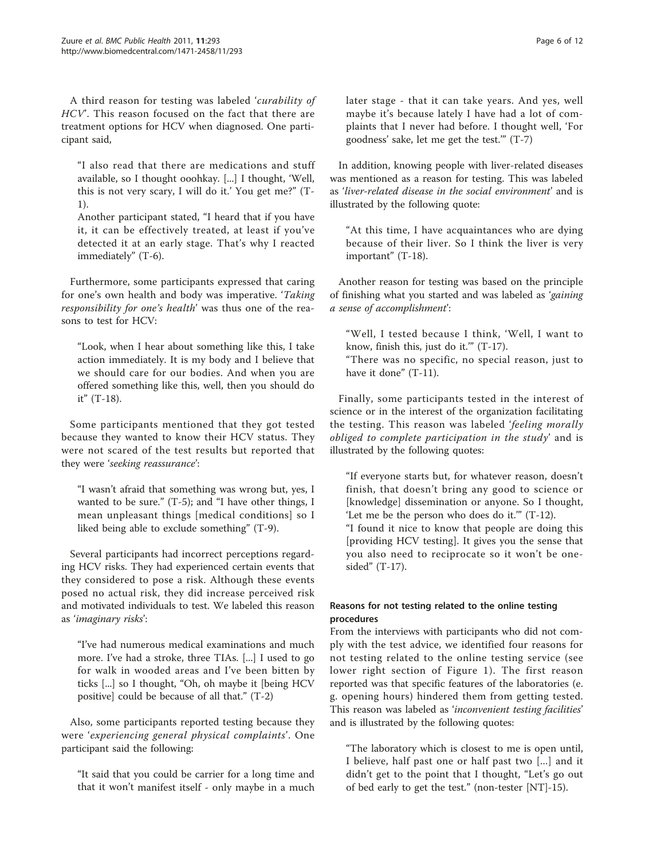A third reason for testing was labeled 'curability of HCV. This reason focused on the fact that there are treatment options for HCV when diagnosed. One participant said,

"I also read that there are medications and stuff available, so I thought ooohkay. [...] I thought, 'Well, this is not very scary, I will do it.' You get me?" (T-1).

Another participant stated, "I heard that if you have it, it can be effectively treated, at least if you've detected it at an early stage. That's why I reacted immediately" (T-6).

Furthermore, some participants expressed that caring for one's own health and body was imperative. 'Taking responsibility for one's health' was thus one of the reasons to test for HCV:

"Look, when I hear about something like this, I take action immediately. It is my body and I believe that we should care for our bodies. And when you are offered something like this, well, then you should do it" (T-18).

Some participants mentioned that they got tested because they wanted to know their HCV status. They were not scared of the test results but reported that they were 'seeking reassurance':

"I wasn't afraid that something was wrong but, yes, I wanted to be sure." (T-5); and "I have other things, I mean unpleasant things [medical conditions] so I liked being able to exclude something" (T-9).

Several participants had incorrect perceptions regarding HCV risks. They had experienced certain events that they considered to pose a risk. Although these events posed no actual risk, they did increase perceived risk and motivated individuals to test. We labeled this reason as 'imaginary risks':

"I've had numerous medical examinations and much more. I've had a stroke, three TIAs. [...] I used to go for walk in wooded areas and I've been bitten by ticks [...] so I thought, "Oh, oh maybe it [being HCV positive] could be because of all that." (T-2)

Also, some participants reported testing because they were 'experiencing general physical complaints'. One participant said the following:

"It said that you could be carrier for a long time and that it won't manifest itself - only maybe in a much later stage - that it can take years. And yes, well maybe it's because lately I have had a lot of complaints that I never had before. I thought well, 'For goodness' sake, let me get the test.'" (T-7)

In addition, knowing people with liver-related diseases was mentioned as a reason for testing. This was labeled as 'liver-related disease in the social environment' and is illustrated by the following quote:

"At this time, I have acquaintances who are dying because of their liver. So I think the liver is very important" (T-18).

Another reason for testing was based on the principle of finishing what you started and was labeled as 'gaining a sense of accomplishment':

"Well, I tested because I think, 'Well, I want to know, finish this, just do it.'" (T-17).

"There was no specific, no special reason, just to have it done" (T-11).

Finally, some participants tested in the interest of science or in the interest of the organization facilitating the testing. This reason was labeled 'feeling morally obliged to complete participation in the study' and is illustrated by the following quotes:

"If everyone starts but, for whatever reason, doesn't finish, that doesn't bring any good to science or [knowledge] dissemination or anyone. So I thought, 'Let me be the person who does do it.'" (T-12).

"I found it nice to know that people are doing this [providing HCV testing]. It gives you the sense that you also need to reciprocate so it won't be onesided" (T-17).

## Reasons for not testing related to the online testing procedures

From the interviews with participants who did not comply with the test advice, we identified four reasons for not testing related to the online testing service (see lower right section of Figure [1\)](#page-4-0). The first reason reported was that specific features of the laboratories (e. g. opening hours) hindered them from getting tested. This reason was labeled as 'inconvenient testing facilities' and is illustrated by the following quotes:

"The laboratory which is closest to me is open until, I believe, half past one or half past two [...] and it didn't get to the point that I thought, "Let's go out of bed early to get the test." (non-tester [NT]-15).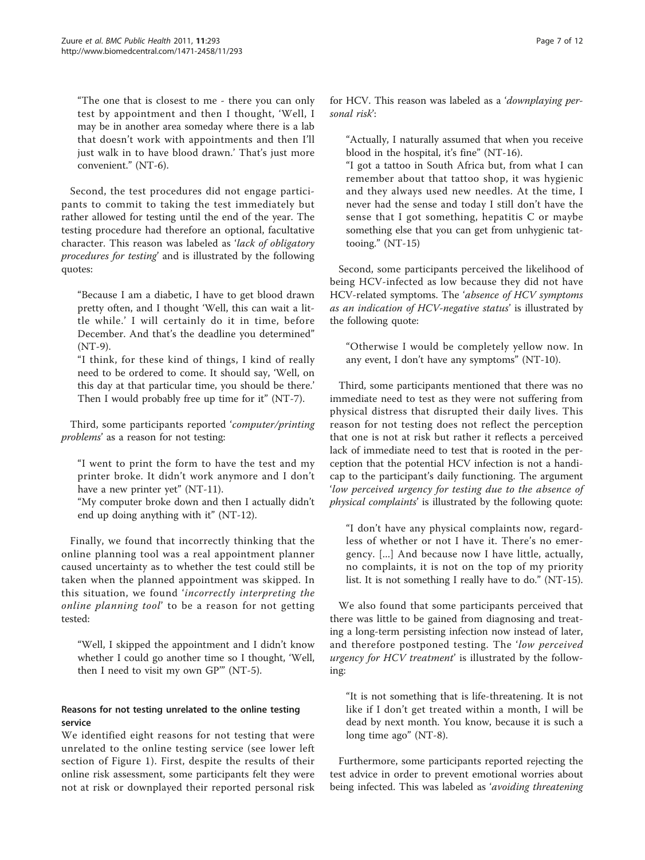"The one that is closest to me - there you can only test by appointment and then I thought, 'Well, I may be in another area someday where there is a lab that doesn't work with appointments and then I'll just walk in to have blood drawn.' That's just more convenient." (NT-6).

Second, the test procedures did not engage participants to commit to taking the test immediately but rather allowed for testing until the end of the year. The testing procedure had therefore an optional, facultative character. This reason was labeled as 'lack of obligatory procedures for testing' and is illustrated by the following quotes:

"Because I am a diabetic, I have to get blood drawn pretty often, and I thought 'Well, this can wait a little while.' I will certainly do it in time, before December. And that's the deadline you determined" (NT-9).

"I think, for these kind of things, I kind of really need to be ordered to come. It should say, 'Well, on this day at that particular time, you should be there.' Then I would probably free up time for it" (NT-7).

Third, some participants reported 'computer/printing problems' as a reason for not testing:

"I went to print the form to have the test and my printer broke. It didn't work anymore and I don't have a new printer yet" (NT-11).

"My computer broke down and then I actually didn't end up doing anything with it" (NT-12).

Finally, we found that incorrectly thinking that the online planning tool was a real appointment planner caused uncertainty as to whether the test could still be taken when the planned appointment was skipped. In this situation, we found 'incorrectly interpreting the online planning tool' to be a reason for not getting tested:

"Well, I skipped the appointment and I didn't know whether I could go another time so I thought, 'Well, then I need to visit my own GP" (NT-5).

## Reasons for not testing unrelated to the online testing service

We identified eight reasons for not testing that were unrelated to the online testing service (see lower left section of Figure [1](#page-4-0)). First, despite the results of their online risk assessment, some participants felt they were not at risk or downplayed their reported personal risk for HCV. This reason was labeled as a 'downplaying personal risk':

"Actually, I naturally assumed that when you receive blood in the hospital, it's fine" (NT-16).

"I got a tattoo in South Africa but, from what I can remember about that tattoo shop, it was hygienic and they always used new needles. At the time, I never had the sense and today I still don't have the sense that I got something, hepatitis C or maybe something else that you can get from unhygienic tattooing." (NT-15)

Second, some participants perceived the likelihood of being HCV-infected as low because they did not have HCV-related symptoms. The 'absence of HCV symptoms as an indication of HCV-negative status' is illustrated by the following quote:

"Otherwise I would be completely yellow now. In any event, I don't have any symptoms" (NT-10).

Third, some participants mentioned that there was no immediate need to test as they were not suffering from physical distress that disrupted their daily lives. This reason for not testing does not reflect the perception that one is not at risk but rather it reflects a perceived lack of immediate need to test that is rooted in the perception that the potential HCV infection is not a handicap to the participant's daily functioning. The argument 'low perceived urgency for testing due to the absence of physical complaints' is illustrated by the following quote:

"I don't have any physical complaints now, regardless of whether or not I have it. There's no emergency. [...] And because now I have little, actually, no complaints, it is not on the top of my priority list. It is not something I really have to do." (NT-15).

We also found that some participants perceived that there was little to be gained from diagnosing and treating a long-term persisting infection now instead of later, and therefore postponed testing. The 'low perceived urgency for HCV treatment' is illustrated by the following:

"It is not something that is life-threatening. It is not like if I don't get treated within a month, I will be dead by next month. You know, because it is such a long time ago" (NT-8).

Furthermore, some participants reported rejecting the test advice in order to prevent emotional worries about being infected. This was labeled as 'avoiding threatening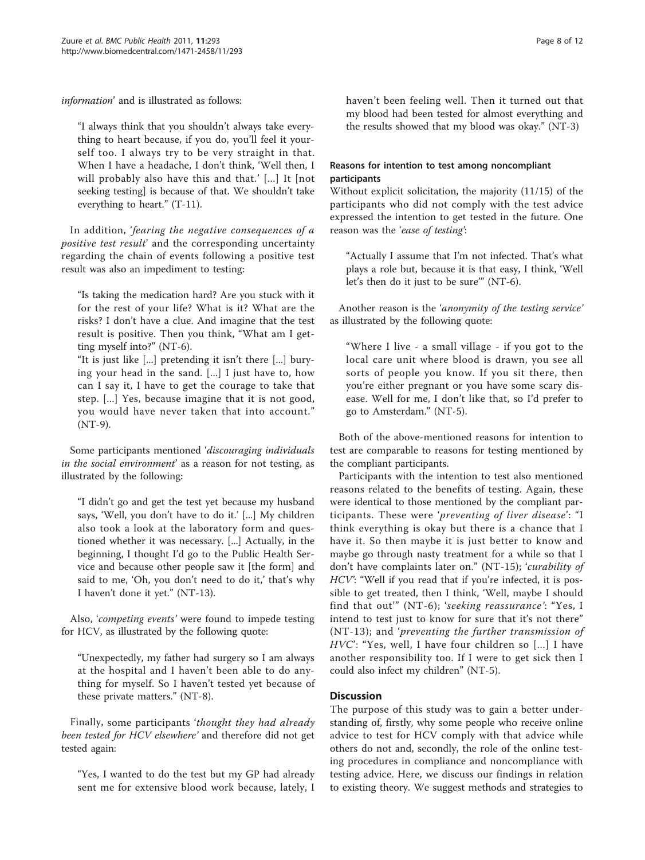information' and is illustrated as follows:

"I always think that you shouldn't always take everything to heart because, if you do, you'll feel it yourself too. I always try to be very straight in that. When I have a headache, I don't think, 'Well then, I will probably also have this and that.' [...] It [not seeking testing] is because of that. We shouldn't take everything to heart." (T-11).

In addition, 'fearing the negative consequences of a positive test result' and the corresponding uncertainty regarding the chain of events following a positive test result was also an impediment to testing:

"Is taking the medication hard? Are you stuck with it for the rest of your life? What is it? What are the risks? I don't have a clue. And imagine that the test result is positive. Then you think, "What am I getting myself into?" (NT-6).

"It is just like [...] pretending it isn't there [...] burying your head in the sand. [...] I just have to, how can I say it, I have to get the courage to take that step. [...] Yes, because imagine that it is not good, you would have never taken that into account." (NT-9).

Some participants mentioned 'discouraging individuals in the social environment' as a reason for not testing, as illustrated by the following:

"I didn't go and get the test yet because my husband says, 'Well, you don't have to do it.' [...] My children also took a look at the laboratory form and questioned whether it was necessary. [...] Actually, in the beginning, I thought I'd go to the Public Health Service and because other people saw it [the form] and said to me, 'Oh, you don't need to do it,' that's why I haven't done it yet." (NT-13).

Also, 'competing events' were found to impede testing for HCV, as illustrated by the following quote:

"Unexpectedly, my father had surgery so I am always at the hospital and I haven't been able to do anything for myself. So I haven't tested yet because of these private matters." (NT-8).

Finally, some participants 'thought they had already been tested for HCV elsewhere' and therefore did not get tested again:

"Yes, I wanted to do the test but my GP had already sent me for extensive blood work because, lately, I haven't been feeling well. Then it turned out that my blood had been tested for almost everything and the results showed that my blood was okay." (NT-3)

## Reasons for intention to test among noncompliant participants

Without explicit solicitation, the majority (11/15) of the participants who did not comply with the test advice expressed the intention to get tested in the future. One reason was the 'ease of testing':

"Actually I assume that I'm not infected. That's what plays a role but, because it is that easy, I think, 'Well let's then do it just to be sure'" (NT-6).

Another reason is the 'anonymity of the testing service' as illustrated by the following quote:

"Where I live - a small village - if you got to the local care unit where blood is drawn, you see all sorts of people you know. If you sit there, then you're either pregnant or you have some scary disease. Well for me, I don't like that, so I'd prefer to go to Amsterdam." (NT-5).

Both of the above-mentioned reasons for intention to test are comparable to reasons for testing mentioned by the compliant participants.

Participants with the intention to test also mentioned reasons related to the benefits of testing. Again, these were identical to those mentioned by the compliant participants. These were 'preventing of liver disease': "I think everything is okay but there is a chance that I have it. So then maybe it is just better to know and maybe go through nasty treatment for a while so that I don't have complaints later on." (NT-15); 'curability of HCV: "Well if you read that if you're infected, it is possible to get treated, then I think, 'Well, maybe I should find that out'" (NT-6); 'seeking reassurance': "Yes, I intend to test just to know for sure that it's not there" (NT-13); and 'preventing the further transmission of HVC': "Yes, well, I have four children so [...] I have another responsibility too. If I were to get sick then I could also infect my children" (NT-5).

## **Discussion**

The purpose of this study was to gain a better understanding of, firstly, why some people who receive online advice to test for HCV comply with that advice while others do not and, secondly, the role of the online testing procedures in compliance and noncompliance with testing advice. Here, we discuss our findings in relation to existing theory. We suggest methods and strategies to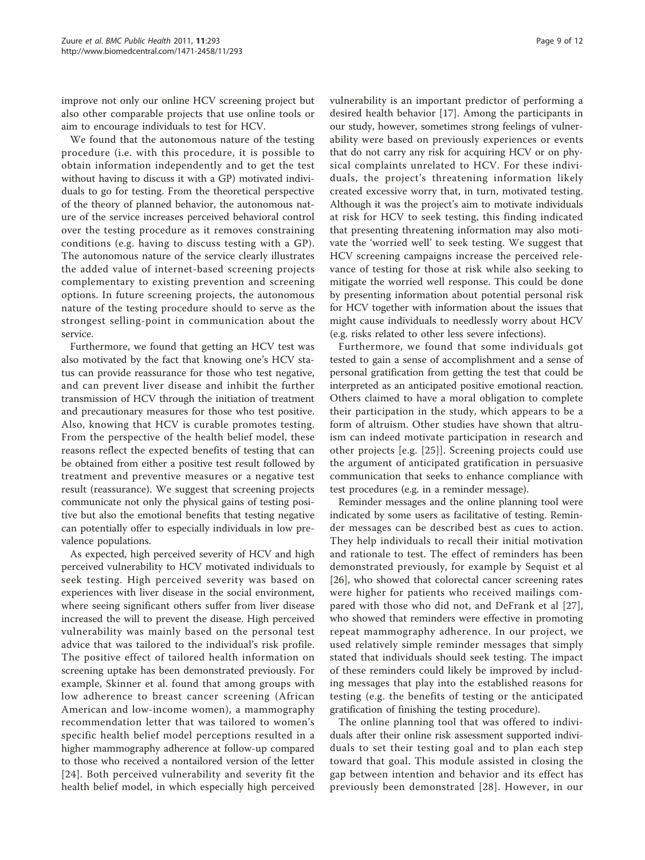improve not only our online HCV screening project but also other comparable projects that use online tools or aim to encourage individuals to test for HCV.

We found that the autonomous nature of the testing procedure (i.e. with this procedure, it is possible to obtain information independently and to get the test without having to discuss it with a GP) motivated individuals to go for testing. From the theoretical perspective of the theory of planned behavior, the autonomous nature of the service increases perceived behavioral control over the testing procedure as it removes constraining conditions (e.g. having to discuss testing with a GP). The autonomous nature of the service clearly illustrates the added value of internet-based screening projects complementary to existing prevention and screening options. In future screening projects, the autonomous nature of the testing procedure should to serve as the strongest selling-point in communication about the service.

Furthermore, we found that getting an HCV test was also motivated by the fact that knowing one's HCV status can provide reassurance for those who test negative, and can prevent liver disease and inhibit the further transmission of HCV through the initiation of treatment and precautionary measures for those who test positive. Also, knowing that HCV is curable promotes testing. From the perspective of the health belief model, these reasons reflect the expected benefits of testing that can be obtained from either a positive test result followed by treatment and preventive measures or a negative test result (reassurance). We suggest that screening projects communicate not only the physical gains of testing positive but also the emotional benefits that testing negative can potentially offer to especially individuals in low prevalence populations.

As expected, high perceived severity of HCV and high perceived vulnerability to HCV motivated individuals to seek testing. High perceived severity was based on experiences with liver disease in the social environment, where seeing significant others suffer from liver disease increased the will to prevent the disease. High perceived vulnerability was mainly based on the personal test advice that was tailored to the individual's risk profile. The positive effect of tailored health information on screening uptake has been demonstrated previously. For example, Skinner et al. found that among groups with low adherence to breast cancer screening (African American and low-income women), a mammography recommendation letter that was tailored to women's specific health belief model perceptions resulted in a higher mammography adherence at follow-up compared to those who received a nontailored version of the letter [[24\]](#page-11-0). Both perceived vulnerability and severity fit the health belief model, in which especially high perceived vulnerability is an important predictor of performing a desired health behavior [[17\]](#page-11-0). Among the participants in our study, however, sometimes strong feelings of vulnerability were based on previously experiences or events that do not carry any risk for acquiring HCV or on physical complaints unrelated to HCV. For these individuals, the project's threatening information likely created excessive worry that, in turn, motivated testing. Although it was the project's aim to motivate individuals at risk for HCV to seek testing, this finding indicated that presenting threatening information may also motivate the 'worried well' to seek testing. We suggest that HCV screening campaigns increase the perceived relevance of testing for those at risk while also seeking to mitigate the worried well response. This could be done by presenting information about potential personal risk for HCV together with information about the issues that might cause individuals to needlessly worry about HCV (e.g. risks related to other less severe infections).

Furthermore, we found that some individuals got tested to gain a sense of accomplishment and a sense of personal gratification from getting the test that could be interpreted as an anticipated positive emotional reaction. Others claimed to have a moral obligation to complete their participation in the study, which appears to be a form of altruism. Other studies have shown that altruism can indeed motivate participation in research and other projects [e.g. [\[25\]](#page-11-0)]. Screening projects could use the argument of anticipated gratification in persuasive communication that seeks to enhance compliance with test procedures (e.g. in a reminder message).

Reminder messages and the online planning tool were indicated by some users as facilitative of testing. Reminder messages can be described best as cues to action. They help individuals to recall their initial motivation and rationale to test. The effect of reminders has been demonstrated previously, for example by Sequist et al [[26\]](#page-11-0), who showed that colorectal cancer screening rates were higher for patients who received mailings compared with those who did not, and DeFrank et al [[27](#page-11-0)], who showed that reminders were effective in promoting repeat mammography adherence. In our project, we used relatively simple reminder messages that simply stated that individuals should seek testing. The impact of these reminders could likely be improved by including messages that play into the established reasons for testing (e.g. the benefits of testing or the anticipated gratification of finishing the testing procedure).

The online planning tool that was offered to individuals after their online risk assessment supported individuals to set their testing goal and to plan each step toward that goal. This module assisted in closing the gap between intention and behavior and its effect has previously been demonstrated [[28](#page-11-0)]. However, in our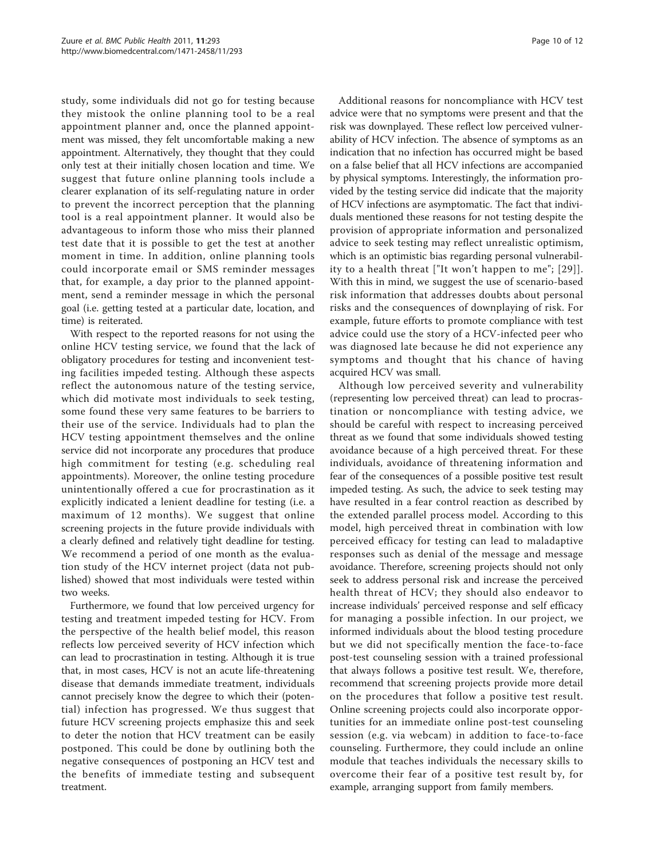study, some individuals did not go for testing because they mistook the online planning tool to be a real appointment planner and, once the planned appointment was missed, they felt uncomfortable making a new appointment. Alternatively, they thought that they could only test at their initially chosen location and time. We suggest that future online planning tools include a clearer explanation of its self-regulating nature in order to prevent the incorrect perception that the planning tool is a real appointment planner. It would also be advantageous to inform those who miss their planned test date that it is possible to get the test at another moment in time. In addition, online planning tools could incorporate email or SMS reminder messages that, for example, a day prior to the planned appointment, send a reminder message in which the personal goal (i.e. getting tested at a particular date, location, and time) is reiterated.

With respect to the reported reasons for not using the online HCV testing service, we found that the lack of obligatory procedures for testing and inconvenient testing facilities impeded testing. Although these aspects reflect the autonomous nature of the testing service, which did motivate most individuals to seek testing, some found these very same features to be barriers to their use of the service. Individuals had to plan the HCV testing appointment themselves and the online service did not incorporate any procedures that produce high commitment for testing (e.g. scheduling real appointments). Moreover, the online testing procedure unintentionally offered a cue for procrastination as it explicitly indicated a lenient deadline for testing (i.e. a maximum of 12 months). We suggest that online screening projects in the future provide individuals with a clearly defined and relatively tight deadline for testing. We recommend a period of one month as the evaluation study of the HCV internet project (data not published) showed that most individuals were tested within two weeks.

Furthermore, we found that low perceived urgency for testing and treatment impeded testing for HCV. From the perspective of the health belief model, this reason reflects low perceived severity of HCV infection which can lead to procrastination in testing. Although it is true that, in most cases, HCV is not an acute life-threatening disease that demands immediate treatment, individuals cannot precisely know the degree to which their (potential) infection has progressed. We thus suggest that future HCV screening projects emphasize this and seek to deter the notion that HCV treatment can be easily postponed. This could be done by outlining both the negative consequences of postponing an HCV test and the benefits of immediate testing and subsequent treatment.

Additional reasons for noncompliance with HCV test advice were that no symptoms were present and that the risk was downplayed. These reflect low perceived vulnerability of HCV infection. The absence of symptoms as an indication that no infection has occurred might be based on a false belief that all HCV infections are accompanied by physical symptoms. Interestingly, the information provided by the testing service did indicate that the majority of HCV infections are asymptomatic. The fact that individuals mentioned these reasons for not testing despite the provision of appropriate information and personalized advice to seek testing may reflect unrealistic optimism, which is an optimistic bias regarding personal vulnerability to a health threat ["It won't happen to me"; [[29](#page-11-0)]]. With this in mind, we suggest the use of scenario-based risk information that addresses doubts about personal risks and the consequences of downplaying of risk. For example, future efforts to promote compliance with test advice could use the story of a HCV-infected peer who was diagnosed late because he did not experience any symptoms and thought that his chance of having acquired HCV was small.

Although low perceived severity and vulnerability (representing low perceived threat) can lead to procrastination or noncompliance with testing advice, we should be careful with respect to increasing perceived threat as we found that some individuals showed testing avoidance because of a high perceived threat. For these individuals, avoidance of threatening information and fear of the consequences of a possible positive test result impeded testing. As such, the advice to seek testing may have resulted in a fear control reaction as described by the extended parallel process model. According to this model, high perceived threat in combination with low perceived efficacy for testing can lead to maladaptive responses such as denial of the message and message avoidance. Therefore, screening projects should not only seek to address personal risk and increase the perceived health threat of HCV; they should also endeavor to increase individuals' perceived response and self efficacy for managing a possible infection. In our project, we informed individuals about the blood testing procedure but we did not specifically mention the face-to-face post-test counseling session with a trained professional that always follows a positive test result. We, therefore, recommend that screening projects provide more detail on the procedures that follow a positive test result. Online screening projects could also incorporate opportunities for an immediate online post-test counseling session (e.g. via webcam) in addition to face-to-face counseling. Furthermore, they could include an online module that teaches individuals the necessary skills to overcome their fear of a positive test result by, for example, arranging support from family members.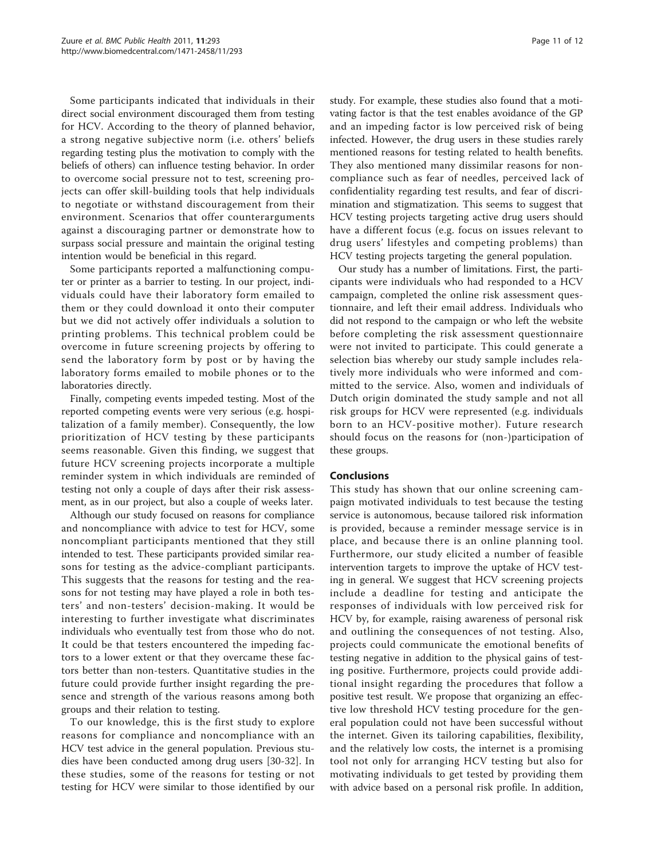Some participants indicated that individuals in their direct social environment discouraged them from testing for HCV. According to the theory of planned behavior, a strong negative subjective norm (i.e. others' beliefs regarding testing plus the motivation to comply with the beliefs of others) can influence testing behavior. In order to overcome social pressure not to test, screening projects can offer skill-building tools that help individuals to negotiate or withstand discouragement from their environment. Scenarios that offer counterarguments against a discouraging partner or demonstrate how to surpass social pressure and maintain the original testing intention would be beneficial in this regard.

Some participants reported a malfunctioning computer or printer as a barrier to testing. In our project, individuals could have their laboratory form emailed to them or they could download it onto their computer but we did not actively offer individuals a solution to printing problems. This technical problem could be overcome in future screening projects by offering to send the laboratory form by post or by having the laboratory forms emailed to mobile phones or to the laboratories directly.

Finally, competing events impeded testing. Most of the reported competing events were very serious (e.g. hospitalization of a family member). Consequently, the low prioritization of HCV testing by these participants seems reasonable. Given this finding, we suggest that future HCV screening projects incorporate a multiple reminder system in which individuals are reminded of testing not only a couple of days after their risk assessment, as in our project, but also a couple of weeks later.

Although our study focused on reasons for compliance and noncompliance with advice to test for HCV, some noncompliant participants mentioned that they still intended to test. These participants provided similar reasons for testing as the advice-compliant participants. This suggests that the reasons for testing and the reasons for not testing may have played a role in both testers' and non-testers' decision-making. It would be interesting to further investigate what discriminates individuals who eventually test from those who do not. It could be that testers encountered the impeding factors to a lower extent or that they overcame these factors better than non-testers. Quantitative studies in the future could provide further insight regarding the presence and strength of the various reasons among both groups and their relation to testing.

To our knowledge, this is the first study to explore reasons for compliance and noncompliance with an HCV test advice in the general population. Previous studies have been conducted among drug users [[30-32](#page-11-0)]. In these studies, some of the reasons for testing or not testing for HCV were similar to those identified by our Page 11 of 12

study. For example, these studies also found that a motivating factor is that the test enables avoidance of the GP and an impeding factor is low perceived risk of being infected. However, the drug users in these studies rarely mentioned reasons for testing related to health benefits. They also mentioned many dissimilar reasons for noncompliance such as fear of needles, perceived lack of confidentiality regarding test results, and fear of discrimination and stigmatization. This seems to suggest that HCV testing projects targeting active drug users should have a different focus (e.g. focus on issues relevant to drug users' lifestyles and competing problems) than HCV testing projects targeting the general population.

Our study has a number of limitations. First, the participants were individuals who had responded to a HCV campaign, completed the online risk assessment questionnaire, and left their email address. Individuals who did not respond to the campaign or who left the website before completing the risk assessment questionnaire were not invited to participate. This could generate a selection bias whereby our study sample includes relatively more individuals who were informed and committed to the service. Also, women and individuals of Dutch origin dominated the study sample and not all risk groups for HCV were represented (e.g. individuals born to an HCV-positive mother). Future research should focus on the reasons for (non-)participation of these groups.

#### Conclusions

This study has shown that our online screening campaign motivated individuals to test because the testing service is autonomous, because tailored risk information is provided, because a reminder message service is in place, and because there is an online planning tool. Furthermore, our study elicited a number of feasible intervention targets to improve the uptake of HCV testing in general. We suggest that HCV screening projects include a deadline for testing and anticipate the responses of individuals with low perceived risk for HCV by, for example, raising awareness of personal risk and outlining the consequences of not testing. Also, projects could communicate the emotional benefits of testing negative in addition to the physical gains of testing positive. Furthermore, projects could provide additional insight regarding the procedures that follow a positive test result. We propose that organizing an effective low threshold HCV testing procedure for the general population could not have been successful without the internet. Given its tailoring capabilities, flexibility, and the relatively low costs, the internet is a promising tool not only for arranging HCV testing but also for motivating individuals to get tested by providing them with advice based on a personal risk profile. In addition,